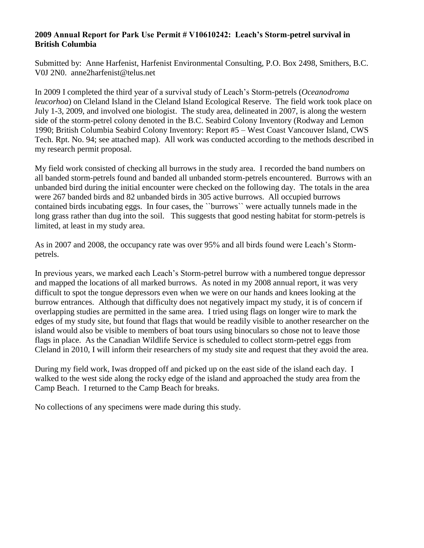## **2009 Annual Report for Park Use Permit # V10610242: Leach's Storm-petrel survival in British Columbia**

Submitted by: Anne Harfenist, Harfenist Environmental Consulting, P.O. Box 2498, Smithers, B.C. V0J 2N0. anne2harfenist@telus.net

In 2009 I completed the third year of a survival study of Leach's Storm-petrels (*Oceanodroma leucorhoa*) on Cleland Island in the Cleland Island Ecological Reserve. The field work took place on July 1-3, 2009, and involved one biologist. The study area, delineated in 2007, is along the western side of the storm-petrel colony denoted in the B.C. Seabird Colony Inventory (Rodway and Lemon 1990; British Columbia Seabird Colony Inventory: Report #5 – West Coast Vancouver Island, CWS Tech. Rpt. No. 94; see attached map). All work was conducted according to the methods described in my research permit proposal.

My field work consisted of checking all burrows in the study area. I recorded the band numbers on all banded storm-petrels found and banded all unbanded storm-petrels encountered. Burrows with an unbanded bird during the initial encounter were checked on the following day. The totals in the area were 267 banded birds and 82 unbanded birds in 305 active burrows. All occupied burrows contained birds incubating eggs. In four cases, the ``burrows`` were actually tunnels made in the long grass rather than dug into the soil. This suggests that good nesting habitat for storm-petrels is limited, at least in my study area.

As in 2007 and 2008, the occupancy rate was over 95% and all birds found were Leach's Stormpetrels.

In previous years, we marked each Leach's Storm-petrel burrow with a numbered tongue depressor and mapped the locations of all marked burrows. As noted in my 2008 annual report, it was very difficult to spot the tongue depressors even when we were on our hands and knees looking at the burrow entrances. Although that difficulty does not negatively impact my study, it is of concern if overlapping studies are permitted in the same area. I tried using flags on longer wire to mark the edges of my study site, but found that flags that would be readily visible to another researcher on the island would also be visible to members of boat tours using binoculars so chose not to leave those flags in place. As the Canadian Wildlife Service is scheduled to collect storm-petrel eggs from Cleland in 2010, I will inform their researchers of my study site and request that they avoid the area.

During my field work, Iwas dropped off and picked up on the east side of the island each day. I walked to the west side along the rocky edge of the island and approached the study area from the Camp Beach. I returned to the Camp Beach for breaks.

No collections of any specimens were made during this study.